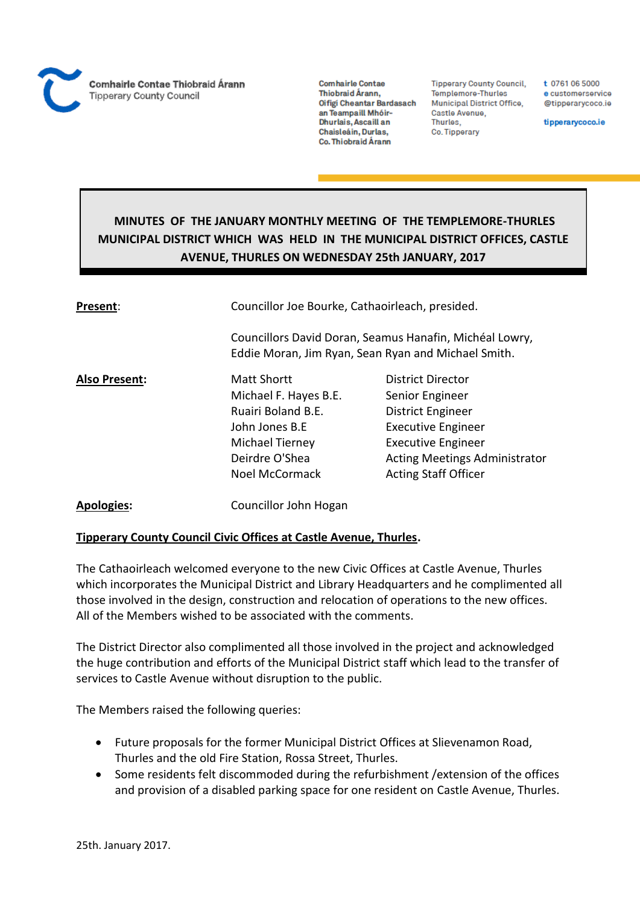

**Tipperary County Council,** Templemore-Thurles Municipal District Office, Castle Avenue, Thurles, Co. Tipperary

t 0761 06 5000 e customerservice @tipperarycoco.ie

tipperarycoco.ie

# **MINUTES OF THE JANUARY MONTHLY MEETING OF THE TEMPLEMORE-THURLES MUNICIPAL DISTRICT WHICH WAS HELD IN THE MUNICIPAL DISTRICT OFFICES, CASTLE AVENUE, THURLES ON WEDNESDAY 25th JANUARY, 2017**

| Present:             | Councillor Joe Bourke, Cathaoirleach, presided.<br>Councillors David Doran, Seamus Hanafin, Michéal Lowry,<br>Eddie Moran, Jim Ryan, Sean Ryan and Michael Smith. |                                                                                                                                                                                                   |  |
|----------------------|-------------------------------------------------------------------------------------------------------------------------------------------------------------------|---------------------------------------------------------------------------------------------------------------------------------------------------------------------------------------------------|--|
|                      |                                                                                                                                                                   |                                                                                                                                                                                                   |  |
| <b>Also Present:</b> | Matt Shortt<br>Michael F. Hayes B.E.<br>Ruairi Boland B.F.<br>John Jones B.E<br>Michael Tierney<br>Deirdre O'Shea<br>Noel McCormack                               | <b>District Director</b><br>Senior Engineer<br>District Engineer<br><b>Executive Engineer</b><br><b>Executive Engineer</b><br><b>Acting Meetings Administrator</b><br><b>Acting Staff Officer</b> |  |
| <b>Apologies:</b>    | Councillor John Hogan                                                                                                                                             |                                                                                                                                                                                                   |  |

# **Tipperary County Council Civic Offices at Castle Avenue, Thurles.**

The Cathaoirleach welcomed everyone to the new Civic Offices at Castle Avenue, Thurles which incorporates the Municipal District and Library Headquarters and he complimented all those involved in the design, construction and relocation of operations to the new offices. All of the Members wished to be associated with the comments.

The District Director also complimented all those involved in the project and acknowledged the huge contribution and efforts of the Municipal District staff which lead to the transfer of services to Castle Avenue without disruption to the public.

The Members raised the following queries:

- Future proposals for the former Municipal District Offices at Slievenamon Road, Thurles and the old Fire Station, Rossa Street, Thurles.
- Some residents felt discommoded during the refurbishment /extension of the offices and provision of a disabled parking space for one resident on Castle Avenue, Thurles.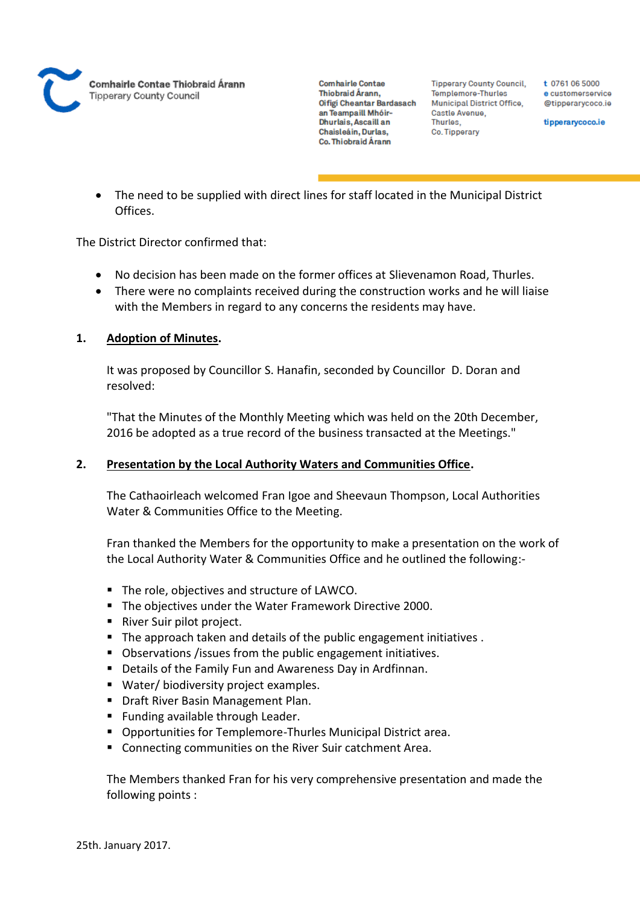

**Tipperary County Council,** Templemore-Thurles Municipal District Office, Castle Avenue, Thurles. Co. Tipperary

t 0761 06 5000 e customerservice @tipperarycoco.ie

tipperarycoco.ie

 The need to be supplied with direct lines for staff located in the Municipal District Offices.

The District Director confirmed that:

- No decision has been made on the former offices at Slievenamon Road, Thurles.
- There were no complaints received during the construction works and he will liaise with the Members in regard to any concerns the residents may have.

# **1. Adoption of Minutes.**

It was proposed by Councillor S. Hanafin, seconded by Councillor D. Doran and resolved:

"That the Minutes of the Monthly Meeting which was held on the 20th December, 2016 be adopted as a true record of the business transacted at the Meetings."

# **2. Presentation by the Local Authority Waters and Communities Office.**

The Cathaoirleach welcomed Fran Igoe and Sheevaun Thompson, Local Authorities Water & Communities Office to the Meeting.

Fran thanked the Members for the opportunity to make a presentation on the work of the Local Authority Water & Communities Office and he outlined the following:-

- The role, objectives and structure of LAWCO.
- The objectives under the Water Framework Directive 2000.
- River Suir pilot project.
- The approach taken and details of the public engagement initiatives.
- Observations /issues from the public engagement initiatives.
- Details of the Family Fun and Awareness Day in Ardfinnan.
- Water/ biodiversity project examples.
- **Draft River Basin Management Plan.**
- **Funding available through Leader.**
- Opportunities for Templemore-Thurles Municipal District area.
- Connecting communities on the River Suir catchment Area.

The Members thanked Fran for his very comprehensive presentation and made the following points :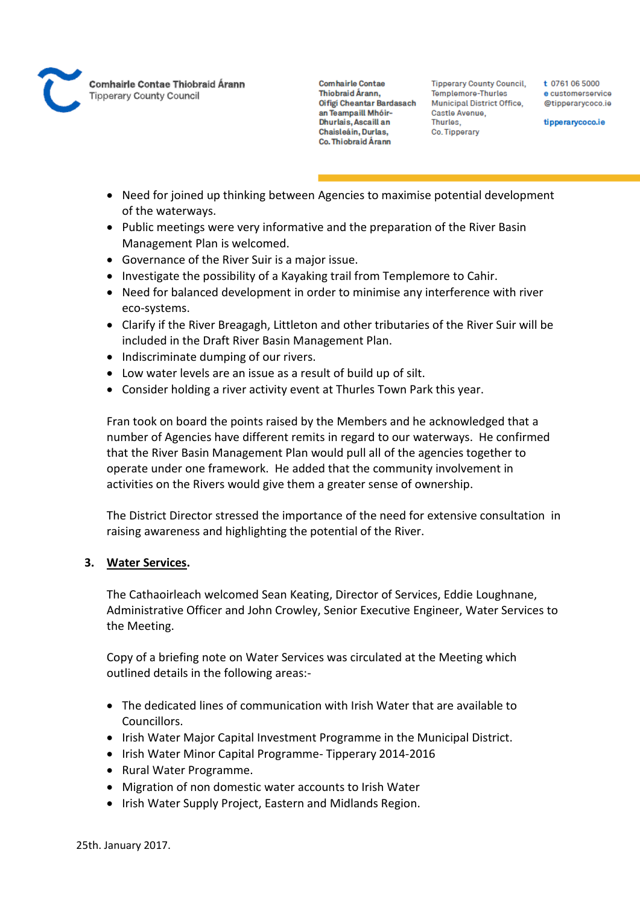

**Tipperary County Council,** Templemore-Thurles **Municipal District Office,** Castle Avenue, Thurles. Co. Tipperary

t 0761 06 5000 e customerservice @tipperarycoco.ie

tipperarycoco.ie

- Need for joined up thinking between Agencies to maximise potential development of the waterways.
- Public meetings were very informative and the preparation of the River Basin Management Plan is welcomed.
- Governance of the River Suir is a major issue.
- Investigate the possibility of a Kayaking trail from Templemore to Cahir.
- Need for balanced development in order to minimise any interference with river eco-systems.
- Clarify if the River Breagagh, Littleton and other tributaries of the River Suir will be included in the Draft River Basin Management Plan.
- Indiscriminate dumping of our rivers.
- Low water levels are an issue as a result of build up of silt.
- Consider holding a river activity event at Thurles Town Park this year.

Fran took on board the points raised by the Members and he acknowledged that a number of Agencies have different remits in regard to our waterways. He confirmed that the River Basin Management Plan would pull all of the agencies together to operate under one framework. He added that the community involvement in activities on the Rivers would give them a greater sense of ownership.

The District Director stressed the importance of the need for extensive consultation in raising awareness and highlighting the potential of the River.

# **3. Water Services.**

The Cathaoirleach welcomed Sean Keating, Director of Services, Eddie Loughnane, Administrative Officer and John Crowley, Senior Executive Engineer, Water Services to the Meeting.

Copy of a briefing note on Water Services was circulated at the Meeting which outlined details in the following areas:-

- The dedicated lines of communication with Irish Water that are available to Councillors.
- Irish Water Major Capital Investment Programme in the Municipal District.
- Irish Water Minor Capital Programme- Tipperary 2014-2016
- Rural Water Programme.
- Migration of non domestic water accounts to Irish Water
- Irish Water Supply Project, Eastern and Midlands Region.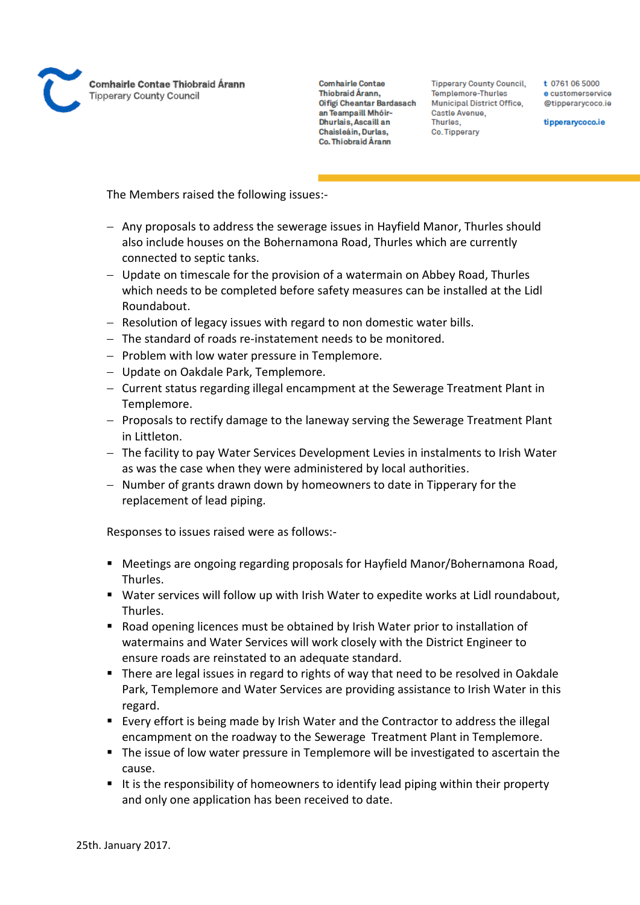

**Tipperary County Council,** Templemore-Thurles Municipal District Office, Castle Avenue, Thurles. Co. Tipperary

t 0761 06 5000 e customerservice @tipperarycoco.ie

tipperarycoco.ie

The Members raised the following issues:-

- Any proposals to address the sewerage issues in Hayfield Manor, Thurles should also include houses on the Bohernamona Road, Thurles which are currently connected to septic tanks.
- Update on timescale for the provision of a watermain on Abbey Road, Thurles which needs to be completed before safety measures can be installed at the Lidl Roundabout.
- Resolution of legacy issues with regard to non domestic water bills.
- The standard of roads re-instatement needs to be monitored.
- $-$  Problem with low water pressure in Templemore.
- Update on Oakdale Park, Templemore.
- Current status regarding illegal encampment at the Sewerage Treatment Plant in Templemore.
- Proposals to rectify damage to the laneway serving the Sewerage Treatment Plant in Littleton.
- The facility to pay Water Services Development Levies in instalments to Irish Water as was the case when they were administered by local authorities.
- $-$  Number of grants drawn down by homeowners to date in Tipperary for the replacement of lead piping.

Responses to issues raised were as follows:-

- Meetings are ongoing regarding proposals for Hayfield Manor/Bohernamona Road, Thurles.
- Water services will follow up with Irish Water to expedite works at Lidl roundabout, Thurles.
- **Road opening licences must be obtained by Irish Water prior to installation of** watermains and Water Services will work closely with the District Engineer to ensure roads are reinstated to an adequate standard.
- There are legal issues in regard to rights of way that need to be resolved in Oakdale Park, Templemore and Water Services are providing assistance to Irish Water in this regard.
- Every effort is being made by Irish Water and the Contractor to address the illegal encampment on the roadway to the Sewerage Treatment Plant in Templemore.
- The issue of low water pressure in Templemore will be investigated to ascertain the cause.
- It is the responsibility of homeowners to identify lead piping within their property and only one application has been received to date.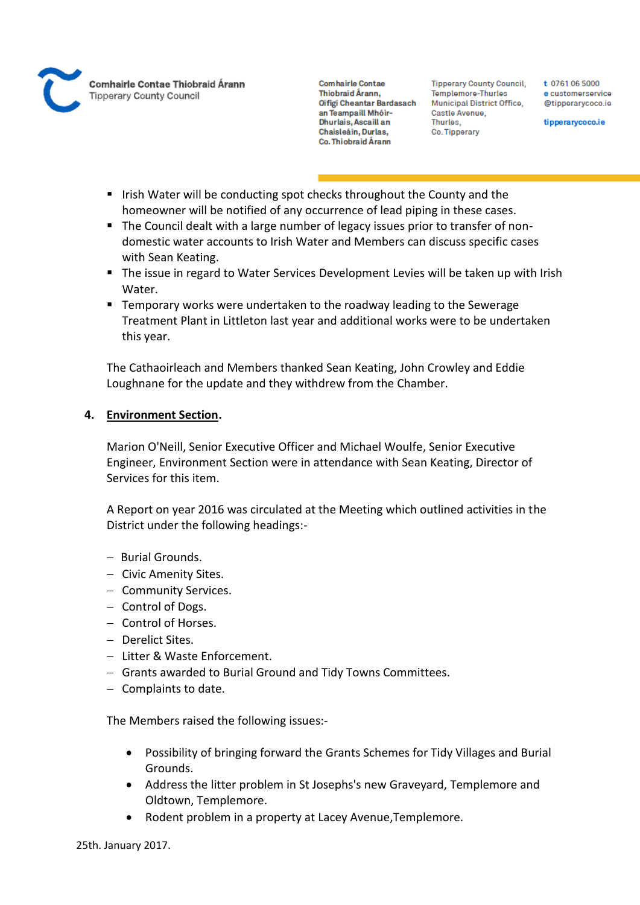

**Tipperary County Council,** Templemore-Thurles **Municipal District Office,** Castle Avenue, Thurles. Co. Tipperary

t 0761 06 5000 e customerservice @tipperarycoco.ie

tipperarycoco.ie

- Irish Water will be conducting spot checks throughout the County and the homeowner will be notified of any occurrence of lead piping in these cases.
- The Council dealt with a large number of legacy issues prior to transfer of nondomestic water accounts to Irish Water and Members can discuss specific cases with Sean Keating.
- The issue in regard to Water Services Development Levies will be taken up with Irish Water.
- Temporary works were undertaken to the roadway leading to the Sewerage Treatment Plant in Littleton last year and additional works were to be undertaken this year.

The Cathaoirleach and Members thanked Sean Keating, John Crowley and Eddie Loughnane for the update and they withdrew from the Chamber.

# **4. Environment Section.**

Marion O'Neill, Senior Executive Officer and Michael Woulfe, Senior Executive Engineer, Environment Section were in attendance with Sean Keating, Director of Services for this item.

A Report on year 2016 was circulated at the Meeting which outlined activities in the District under the following headings:-

- Burial Grounds.
- Civic Amenity Sites.
- Community Services.
- Control of Dogs.
- Control of Horses.
- Derelict Sites.
- Litter & Waste Enforcement.
- Grants awarded to Burial Ground and Tidy Towns Committees.
- $-$  Complaints to date.

The Members raised the following issues:-

- Possibility of bringing forward the Grants Schemes for Tidy Villages and Burial Grounds.
- Address the litter problem in St Josephs's new Graveyard, Templemore and Oldtown, Templemore.
- Rodent problem in a property at Lacey Avenue,Templemore.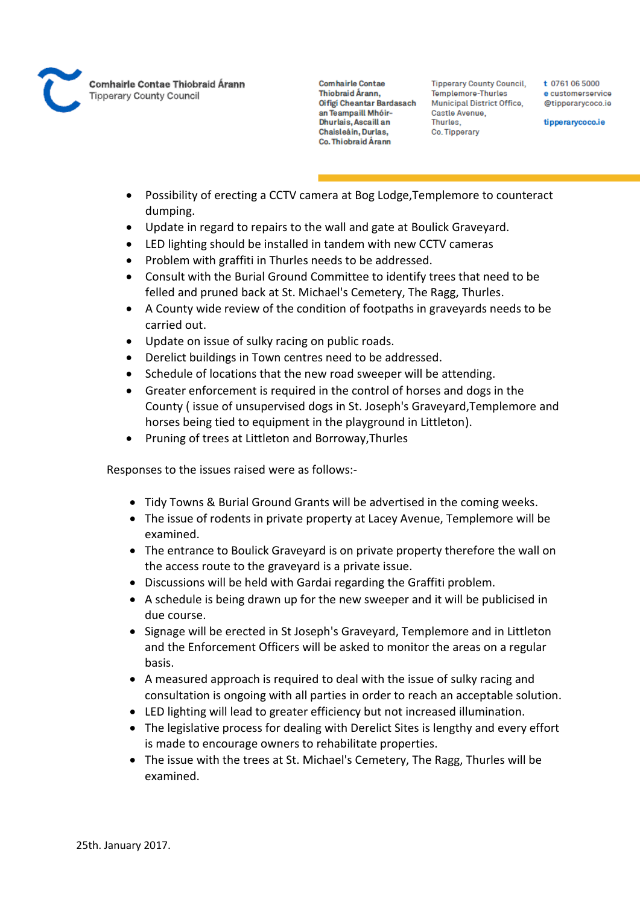

Comhairle Contae Thiobraid Árann **Tipperary County Council** 

**Comhairle Contae** Thiobraid Árann. Oifigi Cheantar Bardasach an Teampaill Mhóir-Dhurlais, Ascaill an Chaisleáin, Durlas, Co. Thiobraid Árann

**Tipperary County Council,** Templemore-Thurles **Municipal District Office,** Castle Avenue, Thurles. Co. Tipperary

t 0761 06 5000 e customerservice @tipperarycoco.ie

tipperarycoco.ie

- Possibility of erecting a CCTV camera at Bog Lodge,Templemore to counteract dumping.
- Update in regard to repairs to the wall and gate at Boulick Graveyard.
- LED lighting should be installed in tandem with new CCTV cameras
- Problem with graffiti in Thurles needs to be addressed.
- Consult with the Burial Ground Committee to identify trees that need to be felled and pruned back at St. Michael's Cemetery, The Ragg, Thurles.
- A County wide review of the condition of footpaths in graveyards needs to be carried out.
- Update on issue of sulky racing on public roads.
- Derelict buildings in Town centres need to be addressed.
- Schedule of locations that the new road sweeper will be attending.
- Greater enforcement is required in the control of horses and dogs in the County ( issue of unsupervised dogs in St. Joseph's Graveyard,Templemore and horses being tied to equipment in the playground in Littleton).
- Pruning of trees at Littleton and Borroway,Thurles

Responses to the issues raised were as follows:-

- Tidy Towns & Burial Ground Grants will be advertised in the coming weeks.
- The issue of rodents in private property at Lacey Avenue, Templemore will be examined.
- The entrance to Boulick Graveyard is on private property therefore the wall on the access route to the graveyard is a private issue.
- Discussions will be held with Gardai regarding the Graffiti problem.
- A schedule is being drawn up for the new sweeper and it will be publicised in due course.
- Signage will be erected in St Joseph's Graveyard, Templemore and in Littleton and the Enforcement Officers will be asked to monitor the areas on a regular basis.
- A measured approach is required to deal with the issue of sulky racing and consultation is ongoing with all parties in order to reach an acceptable solution.
- LED lighting will lead to greater efficiency but not increased illumination.
- The legislative process for dealing with Derelict Sites is lengthy and every effort is made to encourage owners to rehabilitate properties.
- The issue with the trees at St. Michael's Cemetery, The Ragg, Thurles will be examined.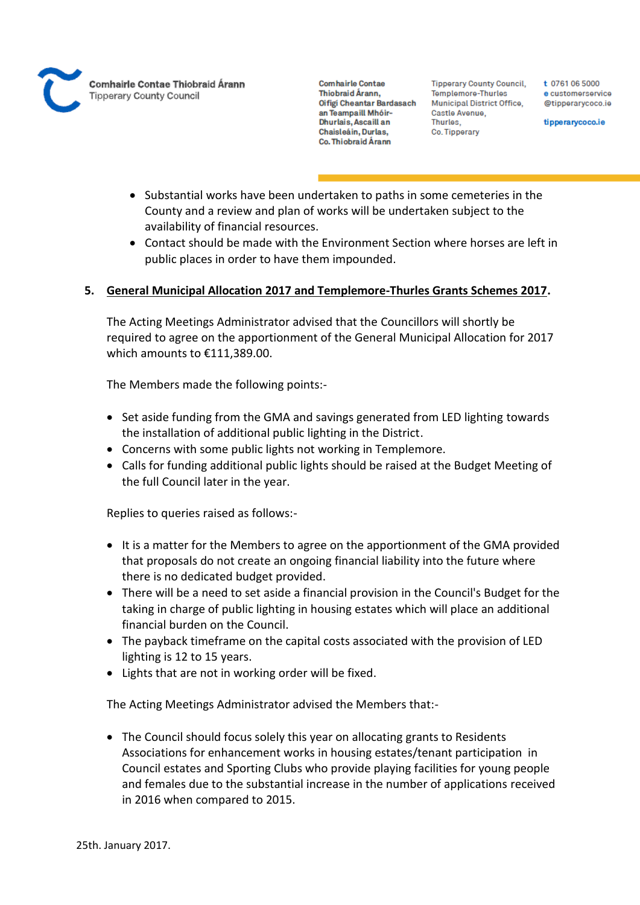

**Tipperary County Council,** Templemore-Thurles Municipal District Office, Castle Avenue, Thurles. Co. Tipperary

t 0761 06 5000 e customerservice @tipperarycoco.ie

tipperarycoco.ie

- Substantial works have been undertaken to paths in some cemeteries in the County and a review and plan of works will be undertaken subject to the availability of financial resources.
- Contact should be made with the Environment Section where horses are left in public places in order to have them impounded.

# **5. General Municipal Allocation 2017 and Templemore-Thurles Grants Schemes 2017.**

The Acting Meetings Administrator advised that the Councillors will shortly be required to agree on the apportionment of the General Municipal Allocation for 2017 which amounts to €111,389.00.

The Members made the following points:-

- Set aside funding from the GMA and savings generated from LED lighting towards the installation of additional public lighting in the District.
- Concerns with some public lights not working in Templemore.
- Calls for funding additional public lights should be raised at the Budget Meeting of the full Council later in the year.

Replies to queries raised as follows:-

- It is a matter for the Members to agree on the apportionment of the GMA provided that proposals do not create an ongoing financial liability into the future where there is no dedicated budget provided.
- There will be a need to set aside a financial provision in the Council's Budget for the taking in charge of public lighting in housing estates which will place an additional financial burden on the Council.
- The payback timeframe on the capital costs associated with the provision of LED lighting is 12 to 15 years.
- Lights that are not in working order will be fixed.

The Acting Meetings Administrator advised the Members that:-

• The Council should focus solely this year on allocating grants to Residents Associations for enhancement works in housing estates/tenant participation in Council estates and Sporting Clubs who provide playing facilities for young people and females due to the substantial increase in the number of applications received in 2016 when compared to 2015.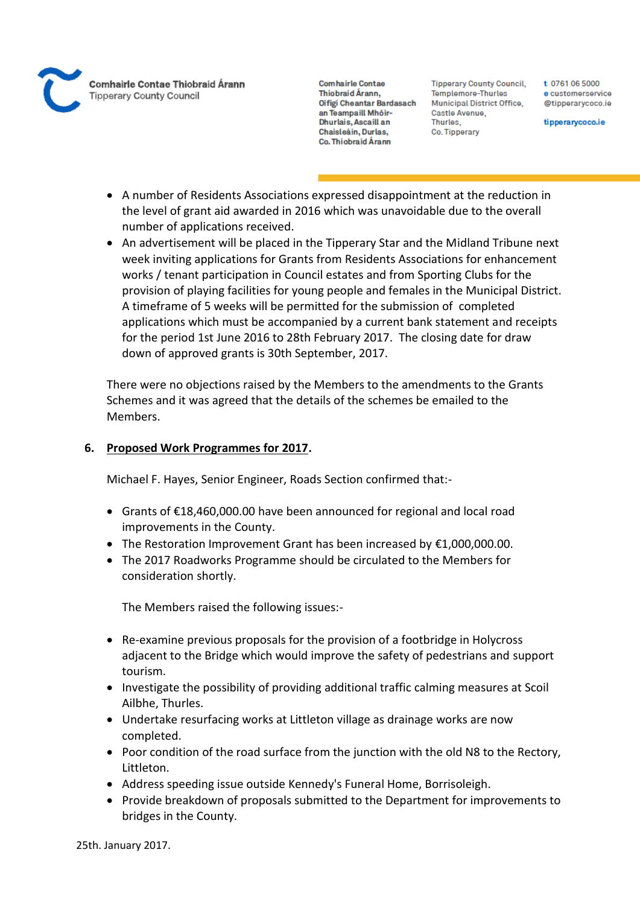

**Tipperary County Council,** Templemore-Thurles Municipal District Office, Castle Avenue, Thurles, Co. Tipperary

t 0761 06 5000 e customerservice @tipperarycoco.ie

tipperarycoco.ie

- A number of Residents Associations expressed disappointment at the reduction in the level of grant aid awarded in 2016 which was unavoidable due to the overall number of applications received.
- An advertisement will be placed in the Tipperary Star and the Midland Tribune next week inviting applications for Grants from Residents Associations for enhancement works / tenant participation in Council estates and from Sporting Clubs for the provision of playing facilities for young people and females in the Municipal District. A timeframe of 5 weeks will be permitted for the submission of completed applications which must be accompanied by a current bank statement and receipts for the period 1st June 2016 to 28th February 2017. The closing date for draw down of approved grants is 30th September, 2017.

There were no objections raised by the Members to the amendments to the Grants Schemes and it was agreed that the details of the schemes be emailed to the Members.

# **6. Proposed Work Programmes for 2017.**

Michael F. Hayes, Senior Engineer, Roads Section confirmed that:-

- Grants of €18,460,000.00 have been announced for regional and local road improvements in the County.
- The Restoration Improvement Grant has been increased by  $€1,000,000.00$ .
- The 2017 Roadworks Programme should be circulated to the Members for consideration shortly.

The Members raised the following issues:-

- Re-examine previous proposals for the provision of a footbridge in Holycross adjacent to the Bridge which would improve the safety of pedestrians and support tourism.
- Investigate the possibility of providing additional traffic calming measures at Scoil Ailbhe, Thurles.
- Undertake resurfacing works at Littleton village as drainage works are now completed.
- Poor condition of the road surface from the junction with the old N8 to the Rectory, Littleton.
- Address speeding issue outside Kennedy's Funeral Home, Borrisoleigh.
- Provide breakdown of proposals submitted to the Department for improvements to bridges in the County.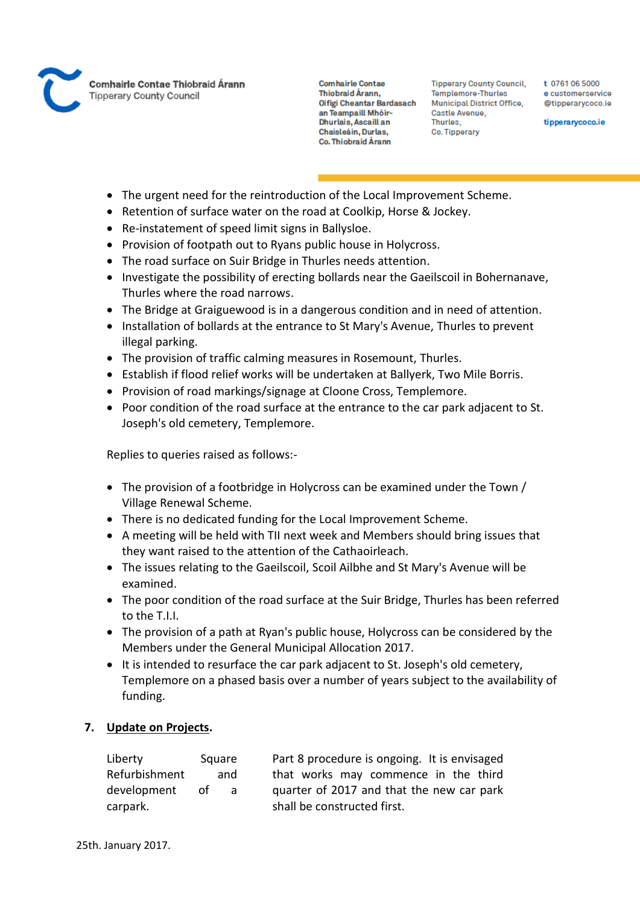

Comhairle Contae Thiobraid Árann **Tipperary County Council** 

**Comhairle Contae** Thiobraid Árann. Oifigi Cheantar Bardasach an Teampaill Mhóir-Dhurlais, Ascaill an Chaisleáin, Durlas, Co. Thiobraid Árann

**Tipperary County Council,** Templemore-Thurles Municipal District Office, Castle Avenue, Thurles, Co. Tipperary

t 0761 06 5000 e customerservice @tipperarycoco.ie

tipperarycoco.ie

- The urgent need for the reintroduction of the Local Improvement Scheme.
- Retention of surface water on the road at Coolkip, Horse & Jockey.
- Re-instatement of speed limit signs in Ballysloe.
- Provision of footpath out to Ryans public house in Holycross.
- The road surface on Suir Bridge in Thurles needs attention.
- Investigate the possibility of erecting bollards near the Gaeilscoil in Bohernanave. Thurles where the road narrows.
- The Bridge at Graiguewood is in a dangerous condition and in need of attention.
- Installation of bollards at the entrance to St Mary's Avenue, Thurles to prevent illegal parking.
- The provision of traffic calming measures in Rosemount, Thurles.
- Establish if flood relief works will be undertaken at Ballyerk, Two Mile Borris.
- Provision of road markings/signage at Cloone Cross, Templemore.
- Poor condition of the road surface at the entrance to the car park adjacent to St. Joseph's old cemetery, Templemore.

Replies to queries raised as follows:-

- The provision of a footbridge in Holycross can be examined under the Town / Village Renewal Scheme.
- There is no dedicated funding for the Local Improvement Scheme.
- A meeting will be held with TII next week and Members should bring issues that they want raised to the attention of the Cathaoirleach.
- The issues relating to the Gaeilscoil, Scoil Ailbhe and St Mary's Avenue will be examined.
- The poor condition of the road surface at the Suir Bridge, Thurles has been referred to the T.I.I.
- The provision of a path at Ryan's public house, Holycross can be considered by the Members under the General Municipal Allocation 2017.
- It is intended to resurface the car park adjacent to St. Joseph's old cemetery, Templemore on a phased basis over a number of years subject to the availability of funding.

# **7. Update on Projects.**

| Liberty       | Square   | Part 8 procedure is ongoing. It is envisaged |
|---------------|----------|----------------------------------------------|
| Refurbishment | and      | that works may commence in the third         |
| development   | .nt<br>a | quarter of 2017 and that the new car park    |
| carpark.      |          | shall be constructed first.                  |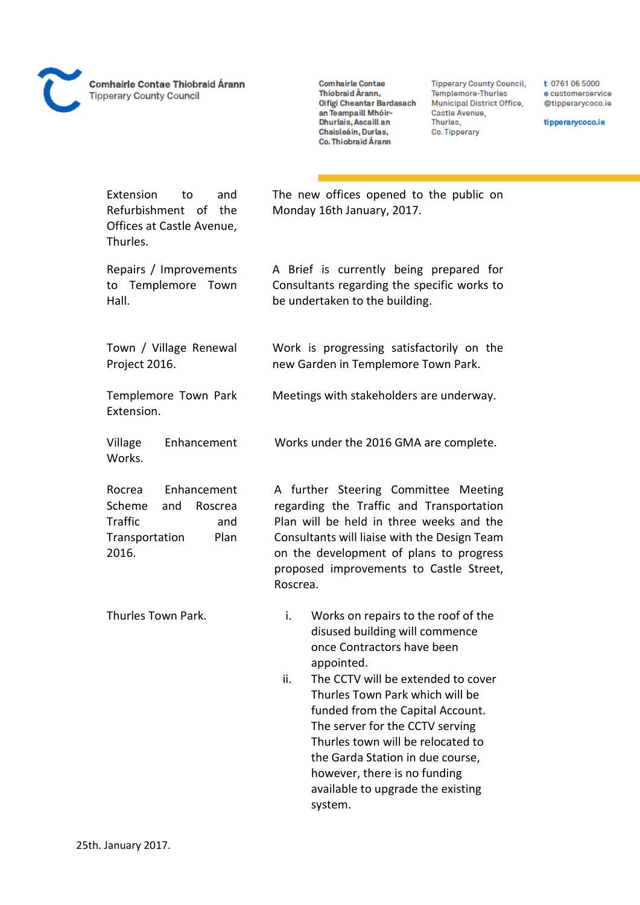

Comhairle Contae Thiobraid Árann **Tipperary County Council** 

**Comhairle Contae** Thiobraid Árann, Oifigi Cheantar Bardasach an Teampaill Mhóir-Dhurlais, Ascaill an Chaisleáin, Durlas, Co. Thiobraid Árann

Monday 16th January, 2017.

be undertaken to the building.

The new offices opened to the public on

A Brief is currently being prepared for Consultants regarding the specific works to

Work is progressing satisfactorily on the new Garden in Templemore Town Park.

Meetings with stakeholders are underway.

Works under the 2016 GMA are complete.

**Tipperary County Council,** Templemore-Thurles Municipal District Office, Castle Avenue, Thurles. Co. Tipperary

t 0761 06 5000 e customerservice @tipperarycoco.ie

tipperarycoco.ie

Extension to and Refurbishment of the Offices at Castle Avenue, Thurles.

Repairs / Improvements to Templemore Town Hall.

Town / Village Renewal Project 2016.

Templemore Town Park Extension.

Village Enhancement Works.

Rocrea Enhancement Scheme and Roscrea Traffic and Transportation Plan 2016.

A further Steering Committee Meeting regarding the Traffic and Transportation Plan will be held in three weeks and the Consultants will liaise with the Design Team on the development of plans to progress proposed improvements to Castle Street, Roscrea.

Thurles Town Park. i. Works on repairs to the roof of the disused building will commence once Contractors have been appointed.

> ii. The CCTV will be extended to cover Thurles Town Park which will be funded from the Capital Account. The server for the CCTV serving Thurles town will be relocated to the Garda Station in due course, however, there is no funding available to upgrade the existing system.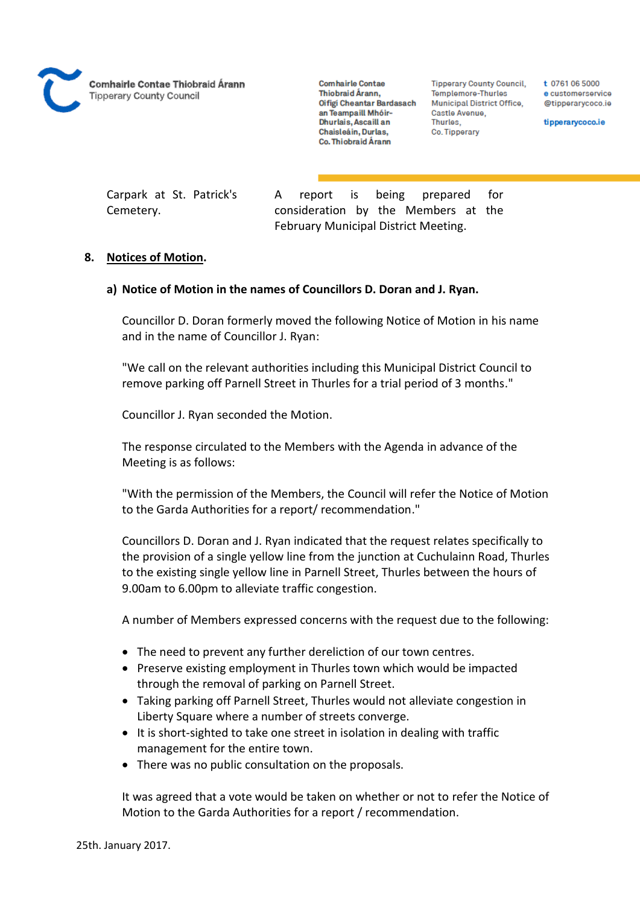

**Tipperary County Council,** Templemore-Thurles Municipal District Office, Castle Avenue, Thurles. Co. Tipperary

t 0761 06 5000 e customerservice @tipperarycoco.ie

tipperarycoco.ie

Carpark at St. Patrick's Cemetery.

A report is being prepared for consideration by the Members at the February Municipal District Meeting.

### **8. Notices of Motion.**

# **a) Notice of Motion in the names of Councillors D. Doran and J. Ryan.**

Councillor D. Doran formerly moved the following Notice of Motion in his name and in the name of Councillor J. Ryan:

"We call on the relevant authorities including this Municipal District Council to remove parking off Parnell Street in Thurles for a trial period of 3 months."

Councillor J. Ryan seconded the Motion.

The response circulated to the Members with the Agenda in advance of the Meeting is as follows:

"With the permission of the Members, the Council will refer the Notice of Motion to the Garda Authorities for a report/ recommendation."

Councillors D. Doran and J. Ryan indicated that the request relates specifically to the provision of a single yellow line from the junction at Cuchulainn Road, Thurles to the existing single yellow line in Parnell Street, Thurles between the hours of 9.00am to 6.00pm to alleviate traffic congestion.

A number of Members expressed concerns with the request due to the following:

- The need to prevent any further dereliction of our town centres.
- Preserve existing employment in Thurles town which would be impacted through the removal of parking on Parnell Street.
- Taking parking off Parnell Street, Thurles would not alleviate congestion in Liberty Square where a number of streets converge.
- It is short-sighted to take one street in isolation in dealing with traffic management for the entire town.
- There was no public consultation on the proposals.

It was agreed that a vote would be taken on whether or not to refer the Notice of Motion to the Garda Authorities for a report / recommendation.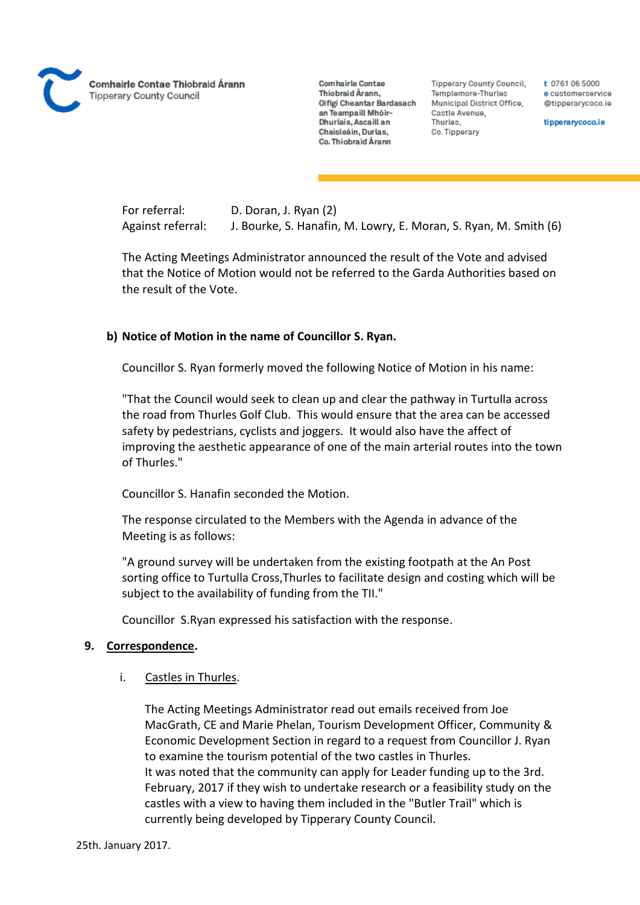

**Tipperary County Council,** Templemore-Thurles Municipal District Office, Castle Avenue, Thurles. Co. Tipperary

t 0761 06 5000 e customerservice @tipperarycoco.ie

tipperarycoco.ie

For referral: D. Doran, J. Ryan (2) Against referral: J. Bourke, S. Hanafin, M. Lowry, E. Moran, S. Ryan, M. Smith (6)

The Acting Meetings Administrator announced the result of the Vote and advised that the Notice of Motion would not be referred to the Garda Authorities based on the result of the Vote.

# **b) Notice of Motion in the name of Councillor S. Ryan.**

Councillor S. Ryan formerly moved the following Notice of Motion in his name:

"That the Council would seek to clean up and clear the pathway in Turtulla across the road from Thurles Golf Club. This would ensure that the area can be accessed safety by pedestrians, cyclists and joggers. It would also have the affect of improving the aesthetic appearance of one of the main arterial routes into the town of Thurles."

Councillor S. Hanafin seconded the Motion.

The response circulated to the Members with the Agenda in advance of the Meeting is as follows:

"A ground survey will be undertaken from the existing footpath at the An Post sorting office to Turtulla Cross,Thurles to facilitate design and costing which will be subject to the availability of funding from the TII."

Councillor S.Ryan expressed his satisfaction with the response.

#### **9. Correspondence.**

#### i. Castles in Thurles.

The Acting Meetings Administrator read out emails received from Joe MacGrath, CE and Marie Phelan, Tourism Development Officer, Community & Economic Development Section in regard to a request from Councillor J. Ryan to examine the tourism potential of the two castles in Thurles. It was noted that the community can apply for Leader funding up to the 3rd. February, 2017 if they wish to undertake research or a feasibility study on the castles with a view to having them included in the "Butler Trail" which is currently being developed by Tipperary County Council.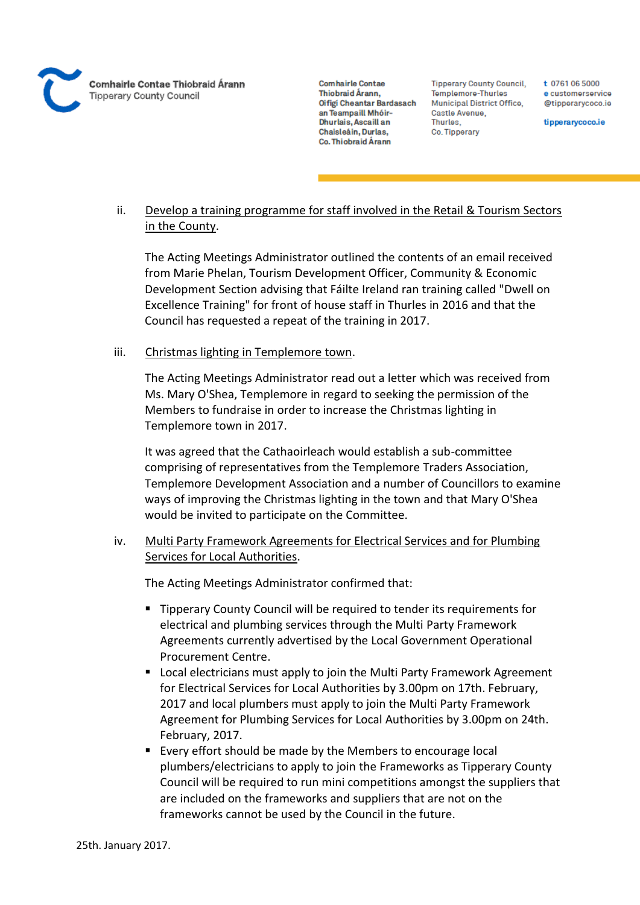

**Tipperary County Council,** Templemore-Thurles Municipal District Office, Castle Avenue, Thurles. Co. Tipperary

t 0761 06 5000 e customerservice @tipperarvcoco.ie

tipperarycoco.ie

# ii. Develop a training programme for staff involved in the Retail & Tourism Sectors in the County.

The Acting Meetings Administrator outlined the contents of an email received from Marie Phelan, Tourism Development Officer, Community & Economic Development Section advising that Fáilte Ireland ran training called "Dwell on Excellence Training" for front of house staff in Thurles in 2016 and that the Council has requested a repeat of the training in 2017.

# iii. Christmas lighting in Templemore town.

The Acting Meetings Administrator read out a letter which was received from Ms. Mary O'Shea, Templemore in regard to seeking the permission of the Members to fundraise in order to increase the Christmas lighting in Templemore town in 2017.

It was agreed that the Cathaoirleach would establish a sub-committee comprising of representatives from the Templemore Traders Association, Templemore Development Association and a number of Councillors to examine ways of improving the Christmas lighting in the town and that Mary O'Shea would be invited to participate on the Committee.

# iv. Multi Party Framework Agreements for Electrical Services and for Plumbing Services for Local Authorities.

The Acting Meetings Administrator confirmed that:

- Tipperary County Council will be required to tender its requirements for electrical and plumbing services through the Multi Party Framework Agreements currently advertised by the Local Government Operational Procurement Centre.
- **EXT** Local electricians must apply to join the Multi Party Framework Agreement for Electrical Services for Local Authorities by 3.00pm on 17th. February, 2017 and local plumbers must apply to join the Multi Party Framework Agreement for Plumbing Services for Local Authorities by 3.00pm on 24th. February, 2017.
- Every effort should be made by the Members to encourage local plumbers/electricians to apply to join the Frameworks as Tipperary County Council will be required to run mini competitions amongst the suppliers that are included on the frameworks and suppliers that are not on the frameworks cannot be used by the Council in the future.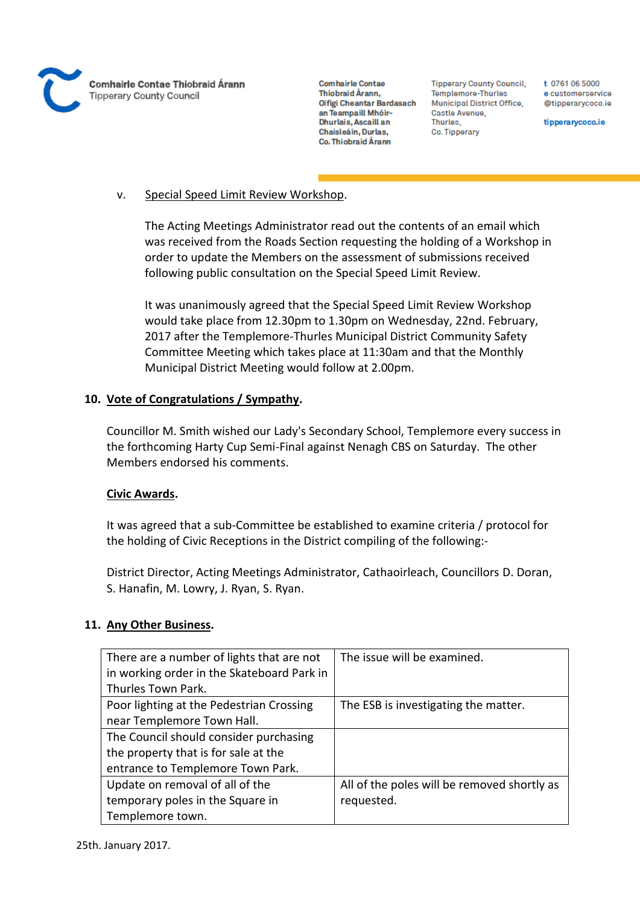

**Tipperary County Council,** Templemore-Thurles Municipal District Office, Castle Avenue, Thurles, Co. Tipperary

t 0761 06 5000 e customerservice @tipperarycoco.ie

tipperarycoco.ie

# v. Special Speed Limit Review Workshop.

The Acting Meetings Administrator read out the contents of an email which was received from the Roads Section requesting the holding of a Workshop in order to update the Members on the assessment of submissions received following public consultation on the Special Speed Limit Review.

It was unanimously agreed that the Special Speed Limit Review Workshop would take place from 12.30pm to 1.30pm on Wednesday, 22nd. February, 2017 after the Templemore-Thurles Municipal District Community Safety Committee Meeting which takes place at 11:30am and that the Monthly Municipal District Meeting would follow at 2.00pm.

# **10. Vote of Congratulations / Sympathy.**

Councillor M. Smith wished our Lady's Secondary School, Templemore every success in the forthcoming Harty Cup Semi-Final against Nenagh CBS on Saturday. The other Members endorsed his comments.

# **Civic Awards.**

It was agreed that a sub-Committee be established to examine criteria / protocol for the holding of Civic Receptions in the District compiling of the following:-

District Director, Acting Meetings Administrator, Cathaoirleach, Councillors D. Doran, S. Hanafin, M. Lowry, J. Ryan, S. Ryan.

# **11. Any Other Business.**

| There are a number of lights that are not  | The issue will be examined.                 |
|--------------------------------------------|---------------------------------------------|
| in working order in the Skateboard Park in |                                             |
| Thurles Town Park.                         |                                             |
| Poor lighting at the Pedestrian Crossing   | The ESB is investigating the matter.        |
| near Templemore Town Hall.                 |                                             |
| The Council should consider purchasing     |                                             |
| the property that is for sale at the       |                                             |
| entrance to Templemore Town Park.          |                                             |
| Update on removal of all of the            | All of the poles will be removed shortly as |
| temporary poles in the Square in           | requested.                                  |
| Templemore town.                           |                                             |